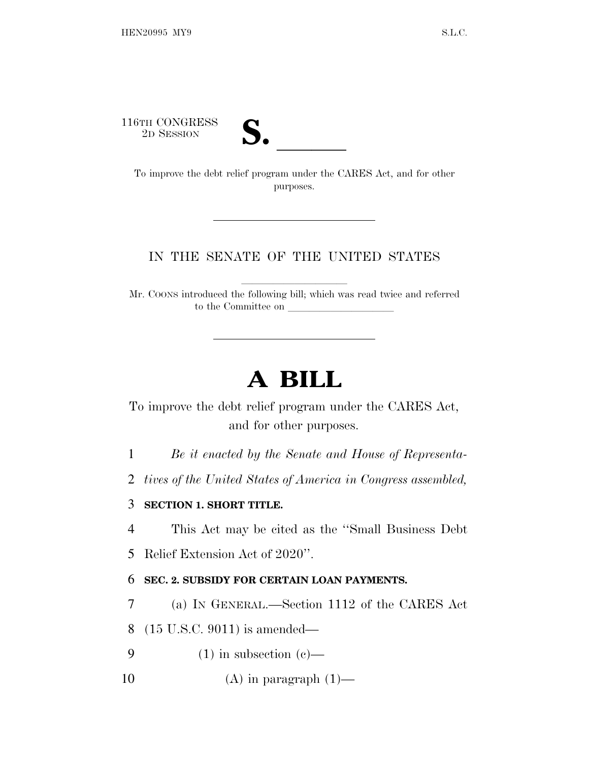116TH CONGRESS<br>2D SESSION



<sup>6TH</sup> CONGRESS<br>
<sup>2D SESSION</sup><br> **S.** <u>Comprove</u> the debt relief program under the CARES Act, and for other purposes.

## IN THE SENATE OF THE UNITED STATES

Mr. COONS introduced the following bill; which was read twice and referred to the Committee on  $\_\_$ 

## **A BILL**

To improve the debt relief program under the CARES Act, and for other purposes.

1 *Be it enacted by the Senate and House of Representa-*

2 *tives of the United States of America in Congress assembled,*

## 3 **SECTION 1. SHORT TITLE.**

4 This Act may be cited as the ''Small Business Debt

5 Relief Extension Act of 2020''.

## 6 **SEC. 2. SUBSIDY FOR CERTAIN LOAN PAYMENTS.**

7 (a) I<sup>N</sup> GENERAL.—Section 1112 of the CARES Act

8 (15 U.S.C. 9011) is amended—

9 (1) in subsection (c)—

10  $(A)$  in paragraph  $(1)$ —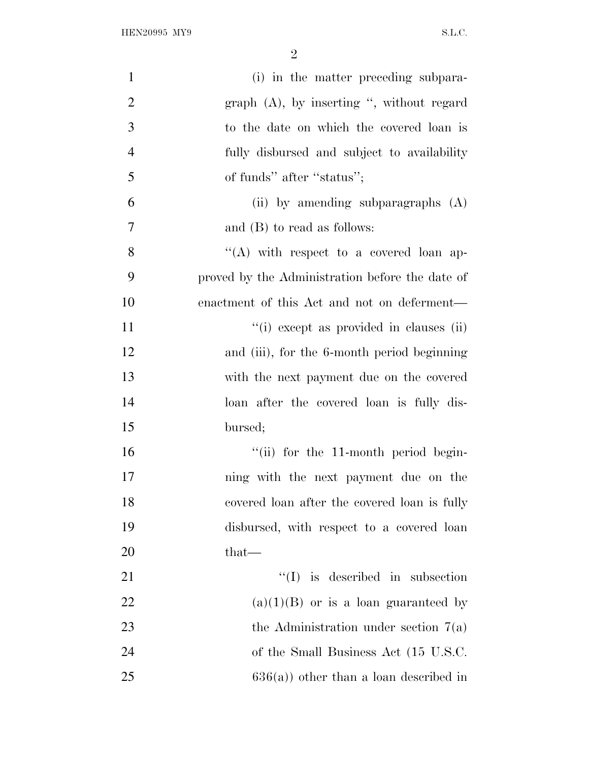| $\mathbf{1}$   | (i) in the matter preceding subpara-            |
|----------------|-------------------------------------------------|
| $\overline{2}$ | graph $(A)$ , by inserting ", without regard    |
| 3              | to the date on which the covered loan is        |
| $\overline{4}$ | fully disbursed and subject to availability     |
| 5              | of funds" after "status";                       |
| 6              | (ii) by amending subparagraphs $(A)$            |
| $\tau$         | and $(B)$ to read as follows:                   |
| 8              | "(A) with respect to a covered loan ap-         |
| 9              | proved by the Administration before the date of |
| 10             | enactment of this Act and not on deferment—     |
| 11             | "(i) except as provided in clauses (ii)         |
| 12             | and (iii), for the 6-month period beginning     |
| 13             | with the next payment due on the covered        |
| 14             | loan after the covered loan is fully dis-       |
| 15             | bursed;                                         |
| 16             | "(ii) for the 11-month period begin-            |
| 17             | ning with the next payment due on the           |
| 18             | covered loan after the covered loan is fully    |
| 19             | disbursed, with respect to a covered loan       |
| 20             | $that-$                                         |
| 21             | $\lq\lq$ is described in subsection             |
| 22             | $(a)(1)(B)$ or is a loan guaranteed by          |
| 23             | the Administration under section $7(a)$         |
| 24             | of the Small Business Act (15 U.S.C.            |
| 25             | $636(a)$ ) other than a loan described in       |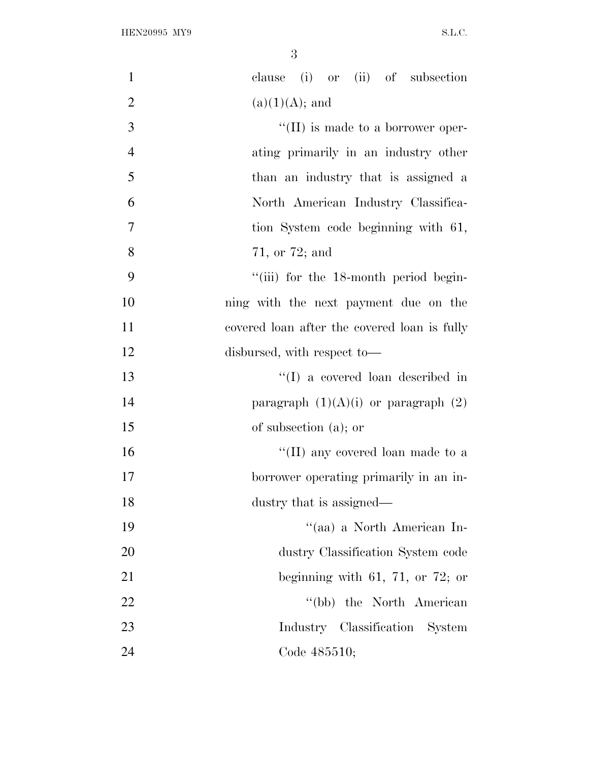| $\mathbf{1}$   | clause (i) or (ii) of subsection             |
|----------------|----------------------------------------------|
| $\overline{2}$ | $(a)(1)(A);$ and                             |
| 3              | $\lq\lq$ (II) is made to a borrower oper-    |
| $\overline{4}$ | ating primarily in an industry other         |
| 5              | than an industry that is assigned a          |
| 6              | North American Industry Classifica-          |
| $\overline{7}$ | tion System code beginning with 61,          |
| 8              | 71, or 72; and                               |
| 9              | "(iii) for the 18-month period begin-        |
| 10             | ning with the next payment due on the        |
| 11             | covered loan after the covered loan is fully |
| 12             | disbursed, with respect to-                  |
| 13             | $\lq\lq$ (I) a covered loan described in     |
| 14             | paragraph $(1)(A)(i)$ or paragraph $(2)$     |
| 15             | of subsection $(a)$ ; or                     |
| 16             | "(II) any covered loan made to a             |
| 17             | borrower operating primarily in an in-       |
| 18             | dustry that is assigned—                     |
| 19             | "(aa) a North American In-                   |
| 20             | dustry Classification System code            |
| 21             | beginning with 61, 71, or 72; or             |
| 22             | "(bb) the North American                     |
| 23             | Industry Classification System               |
| 24             | Code 485510;                                 |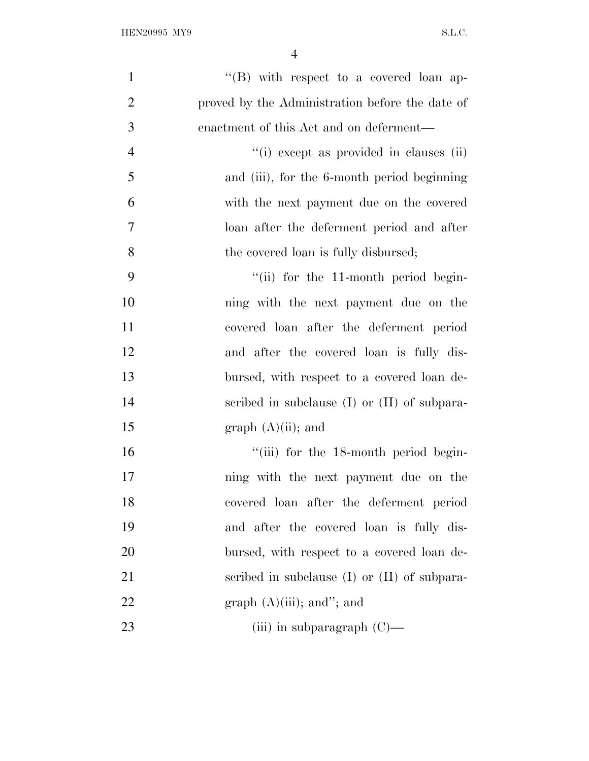| $\mathbf{1}$   | "(B) with respect to a covered loan ap-          |
|----------------|--------------------------------------------------|
| $\overline{2}$ | proved by the Administration before the date of  |
| 3              | enactment of this Act and on deferment—          |
| $\overline{4}$ | "(i) except as provided in clauses (ii)          |
| 5              | and (iii), for the 6-month period beginning      |
| 6              | with the next payment due on the covered         |
| 7              | loan after the deferment period and after        |
| 8              | the covered loan is fully disbursed;             |
| 9              | "(ii) for the 11-month period begin-             |
| 10             | ning with the next payment due on the            |
| 11             | covered loan after the deferment period          |
| 12             | and after the covered loan is fully dis-         |
| 13             | bursed, with respect to a covered loan de-       |
| 14             | scribed in subclause $(I)$ or $(II)$ of subpara- |
| 15             | graph $(A)(ii)$ ; and                            |
| 16             | "(iii) for the 18-month period begin-            |
| 17             | ning with the next payment due on the            |
| 18             | covered loan after the deferment period          |
| 19             | and after the covered loan is fully dis-         |
| 20             | bursed, with respect to a covered loan de-       |
| 21             | scribed in subclause $(I)$ or $(II)$ of subpara- |
| 22             | graph $(A)(iii)$ ; and"; and                     |
| 23             | (iii) in subparagraph $(C)$ —                    |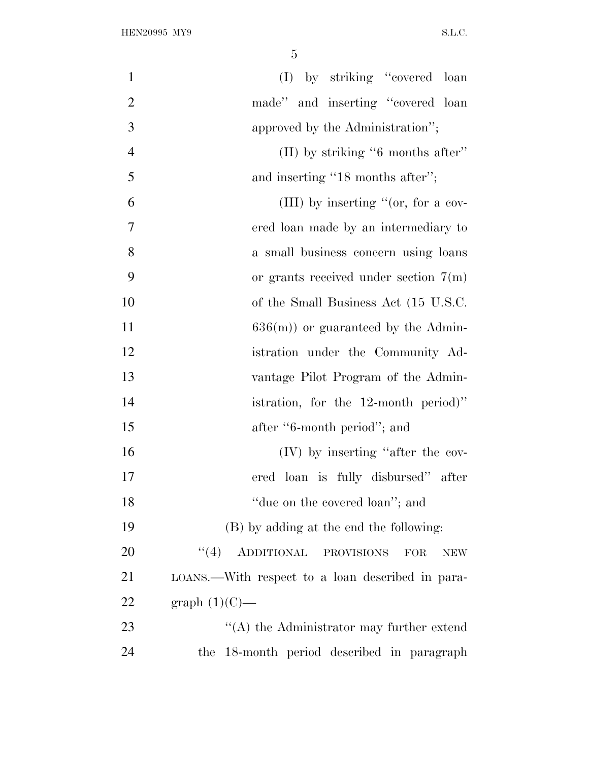| $\mathbf{1}$   | (I) by striking "covered loan                            |
|----------------|----------------------------------------------------------|
| $\overline{2}$ | made" and inserting "covered loan                        |
| 3              | approved by the Administration";                         |
| $\overline{4}$ | (II) by striking "6 months after"                        |
| 5              | and inserting "18 months after";                         |
| 6              | (III) by inserting "(or, for a cov-                      |
| 7              | ered loan made by an intermediary to                     |
| 8              | a small business concern using loans                     |
| 9              | or grants received under section $7(m)$                  |
| 10             | of the Small Business Act (15 U.S.C.                     |
| 11             | $636(m)$ or guaranteed by the Admin-                     |
| 12             | istration under the Community Ad-                        |
| 13             | vantage Pilot Program of the Admin-                      |
| 14             | istration, for the $12$ -month period)"                  |
| 15             | after "6-month period"; and                              |
| 16             | (IV) by inserting "after the cov-                        |
| 17             | ered loan is fully disbursed" after                      |
| 18             | "due on the covered loan"; and                           |
| 19             | (B) by adding at the end the following:                  |
| 20             | (4)<br>ADDITIONAL PROVISIONS<br><b>FOR</b><br><b>NEW</b> |
| 21             | LOANS.—With respect to a loan described in para-         |
| 22             | graph $(1)(C)$ —                                         |
| 23             | $\lq\lq$ the Administrator may further extend            |
| 24             | the 18-month period described in paragraph               |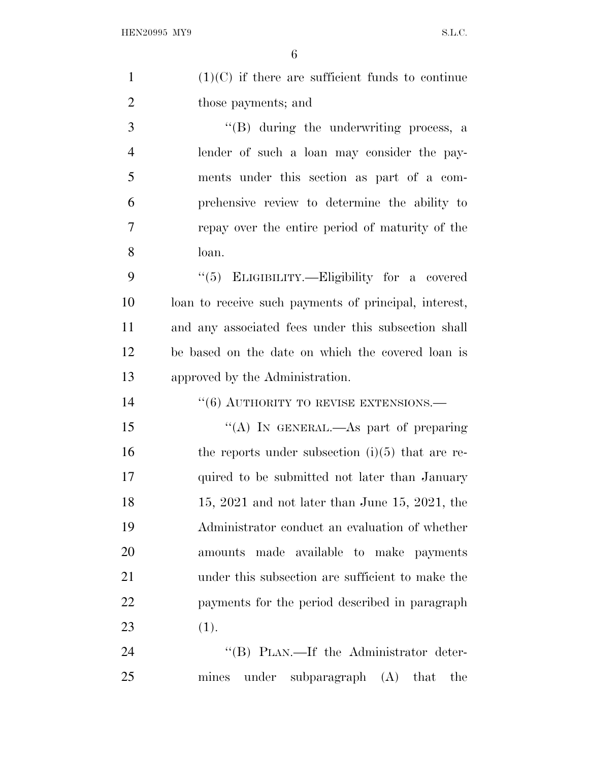| $\mathbf{1}$   | $(1)(C)$ if there are sufficient funds to continue    |
|----------------|-------------------------------------------------------|
| $\overline{2}$ | those payments; and                                   |
| 3              | $\lq\lq(B)$ during the underwriting process, a        |
| $\overline{4}$ | lender of such a loan may consider the pay-           |
| 5              | ments under this section as part of a com-            |
| 6              | prehensive review to determine the ability to         |
| 7              | repay over the entire period of maturity of the       |
| 8              | loan.                                                 |
| 9              | "(5) ELIGIBILITY.—Eligibility for a covered           |
| 10             | loan to receive such payments of principal, interest, |
| 11             | and any associated fees under this subsection shall   |
| 12             | be based on the date on which the covered loan is     |
| 13             | approved by the Administration.                       |
| 14             | $``(6)$ AUTHORITY TO REVISE EXTENSIONS.—              |
| 15             | "(A) IN GENERAL.—As part of preparing                 |
| 16             | the reports under subsection $(i)(5)$ that are re-    |
| 17             | quired to be submitted not later than January         |
| 18             | $15, 2021$ and not later than June 15, 2021, the      |
| 19             | Administrator conduct an evaluation of whether        |
| 20             | amounts made available to make payments               |
| 21             | under this subsection are sufficient to make the      |
| 22             | payments for the period described in paragraph        |
| 23             | (1).                                                  |
| 24             | "(B) PLAN.—If the Administrator deter-                |
| 25             | under<br>subparagraph $(A)$<br>mines<br>that<br>the   |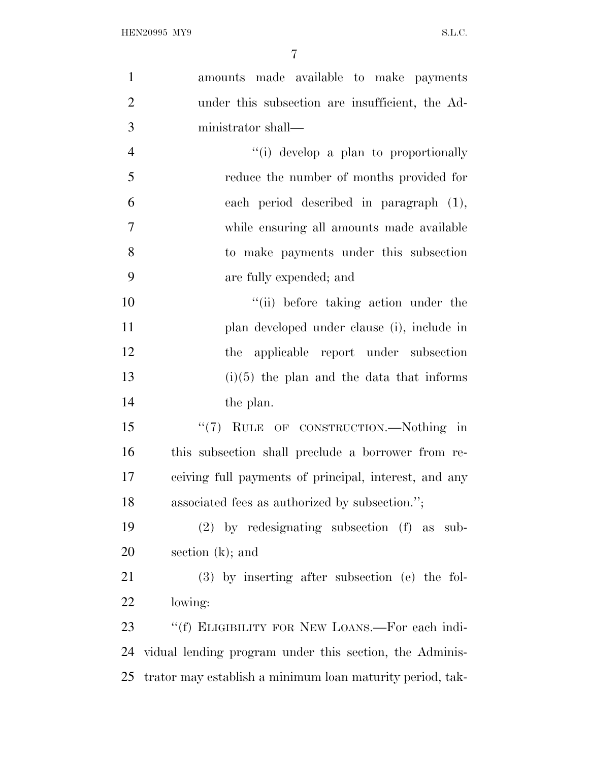| $\mathbf{1}$   | amounts made available to make payments                   |
|----------------|-----------------------------------------------------------|
| $\overline{2}$ | under this subsection are insufficient, the Ad-           |
| 3              | ministrator shall—                                        |
| $\overline{4}$ | "(i) develop a plan to proportionally                     |
| 5              | reduce the number of months provided for                  |
| 6              | each period described in paragraph (1),                   |
| $\overline{7}$ | while ensuring all amounts made available                 |
| 8              | to make payments under this subsection                    |
| 9              | are fully expended; and                                   |
| 10             | "(ii) before taking action under the                      |
| 11             | plan developed under clause (i), include in               |
| 12             | the applicable report under subsection                    |
| 13             | $(i)(5)$ the plan and the data that informs               |
| 14             | the plan.                                                 |
| 15             | "(7) RULE OF CONSTRUCTION.—Nothing in                     |
| 16             | this subsection shall preclude a borrower from re-        |
| 17             | ceiving full payments of principal, interest, and any     |
| 18             | associated fees as authorized by subsection.";            |
| 19             | $(2)$ by redesignating subsection $(f)$ as<br>sub-        |
| 20             | section $(k)$ ; and                                       |
| 21             | $(3)$ by inserting after subsection (e) the fol-          |
| 22             | lowing:                                                   |
| 23             | "(f) ELIGIBILITY FOR NEW LOANS.—For each indi-            |
| 24             | vidual lending program under this section, the Adminis-   |
| 25             | trator may establish a minimum loan maturity period, tak- |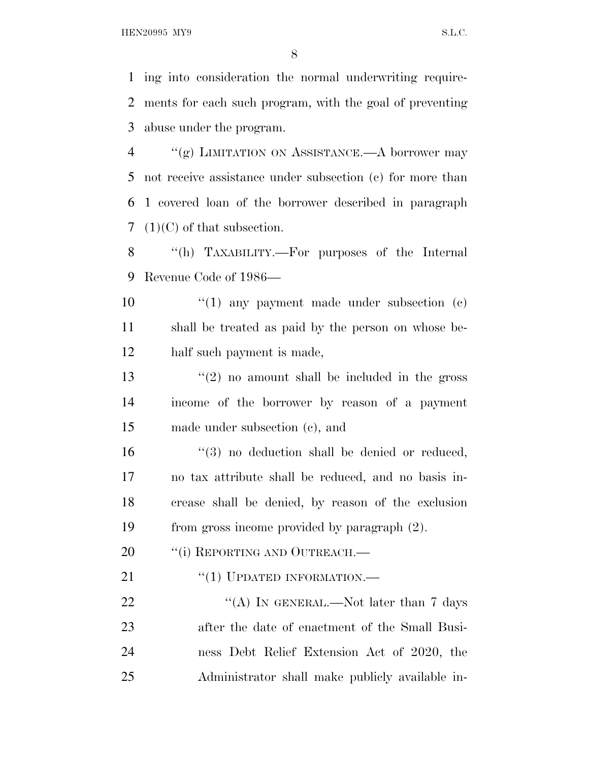HEN20995 MY9 S.L.C.

 ing into consideration the normal underwriting require- ments for each such program, with the goal of preventing abuse under the program.

 ''(g) LIMITATION ON ASSISTANCE.—A borrower may not receive assistance under subsection (c) for more than 1 covered loan of the borrower described in paragraph (1)(C) of that subsection.

 ''(h) TAXABILITY.—For purposes of the Internal Revenue Code of 1986—

10 ''(1) any payment made under subsection (c) shall be treated as paid by the person on whose be-half such payment is made,

13  $\frac{1}{2}$  no amount shall be included in the gross income of the borrower by reason of a payment made under subsection (c), and

16 "(3) no deduction shall be denied or reduced, no tax attribute shall be reduced, and no basis in- crease shall be denied, by reason of the exclusion from gross income provided by paragraph (2).

20 "(i) REPORTING AND OUTREACH.—

21 "(1) UPDATED INFORMATION.—

22 "(A) IN GENERAL.—Not later than 7 days after the date of enactment of the Small Busi- ness Debt Relief Extension Act of 2020, the Administrator shall make publicly available in-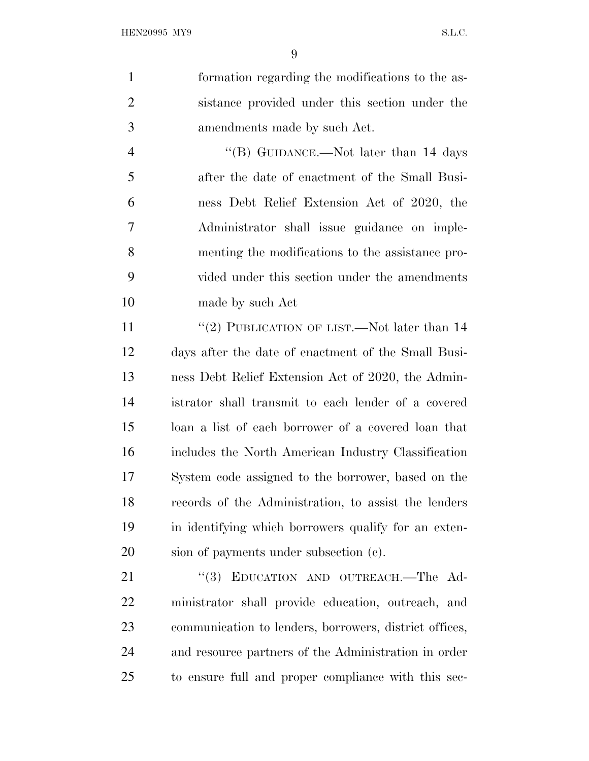formation regarding the modifications to the as- sistance provided under this section under the amendments made by such Act. 4 "(B) GUIDANCE.—Not later than 14 days after the date of enactment of the Small Busi- ness Debt Relief Extension Act of 2020, the Administrator shall issue guidance on imple- menting the modifications to the assistance pro- vided under this section under the amendments made by such Act 11 ''(2) PUBLICATION OF LIST.—Not later than 14 days after the date of enactment of the Small Busi- ness Debt Relief Extension Act of 2020, the Admin- istrator shall transmit to each lender of a covered loan a list of each borrower of a covered loan that includes the North American Industry Classification System code assigned to the borrower, based on the records of the Administration, to assist the lenders in identifying which borrowers qualify for an exten- sion of payments under subsection (c). 21 "(3) EDUCATION AND OUTREACH.—The Ad- ministrator shall provide education, outreach, and communication to lenders, borrowers, district offices, and resource partners of the Administration in order

to ensure full and proper compliance with this sec-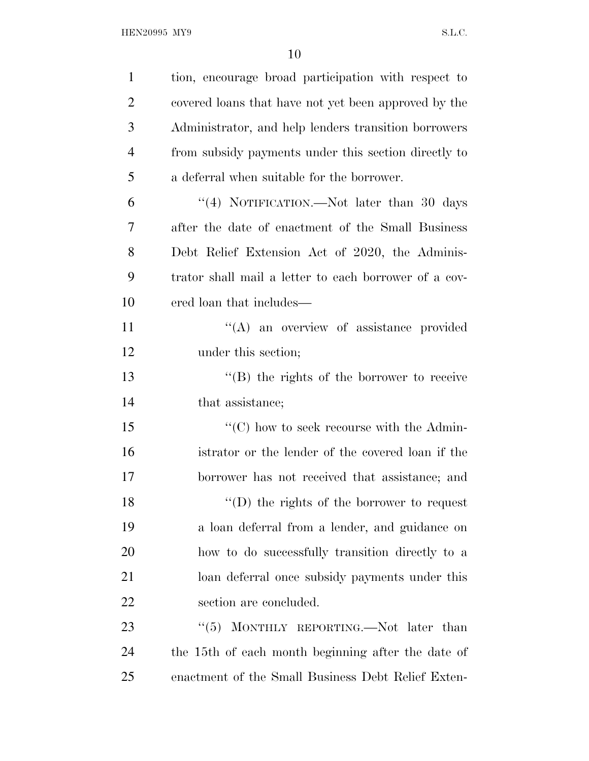| $\mathbf{1}$   | tion, encourage broad participation with respect to            |
|----------------|----------------------------------------------------------------|
| $\overline{2}$ | covered loans that have not yet been approved by the           |
| 3              | Administrator, and help lenders transition borrowers           |
| $\overline{4}$ | from subsidy payments under this section directly to           |
| 5              | a deferral when suitable for the borrower.                     |
| 6              | "(4) NOTIFICATION.—Not later than 30 days                      |
| 7              | after the date of enactment of the Small Business              |
| 8              | Debt Relief Extension Act of 2020, the Adminis-                |
| 9              | trator shall mail a letter to each borrower of a cov-          |
| 10             | ered loan that includes—                                       |
| 11             | "(A) an overview of assistance provided                        |
| 12             | under this section;                                            |
| 13             | $\lq\lq (B)$ the rights of the borrower to receive             |
| 14             | that assistance;                                               |
| 15             | $\lq\lq$ <sup>c</sup> (C) how to seek recourse with the Admin- |
| 16             | istrator or the lender of the covered loan if the              |
| 17             | borrower has not received that assistance; and                 |
| 18             | $\lq\lq$ (D) the rights of the borrower to request             |
| 19             | a loan deferral from a lender, and guidance on                 |
| 20             | how to do successfully transition directly to a                |
| 21             | loan deferral once subsidy payments under this                 |
| 22             | section are concluded.                                         |
| 23             | MONTHLY REPORTING.—Not later than<br>(5)                       |
| 24             | the 15th of each month beginning after the date of             |
| 25             | enactment of the Small Business Debt Relief Exten-             |